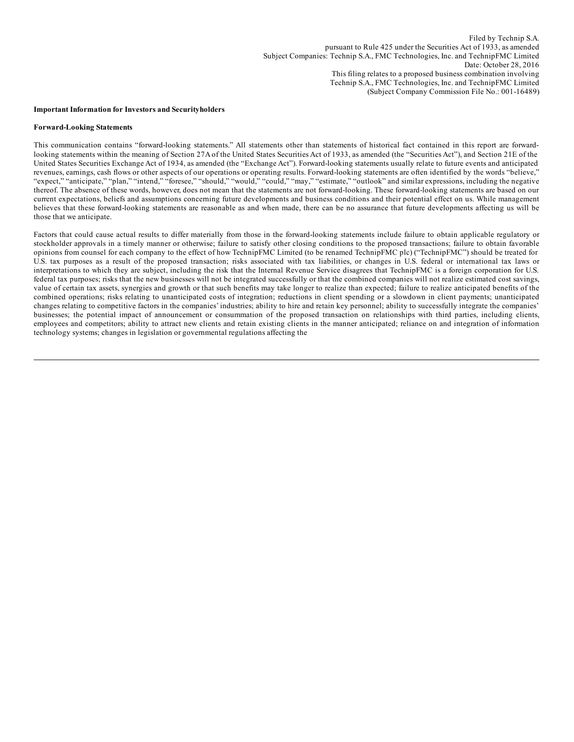#### **Important Information for Investors and Securityholders**

#### **Forward-Looking Statements**

This communication contains "forward-looking statements." All statements other than statements of historical fact contained in this report are forwardlooking statements within the meaning of Section 27A of the United States Securities Act of 1933, as amended (the "Securities Act"), and Section 21E of the United States Securities Exchange Act of 1934, as amended (the "Exchange Act"). Forward-looking statements usually relate to future events and anticipated revenues, earnings, cash flows or other aspects of our operations or operating results. Forward-looking statements are often identified by the words "believe," "expect," "anticipate," "plan," "intend," "foresee," "should," "would," "could," "may," "estimate," "outlook" and similar expressions, including the negative thereof. The absence of these words, however, does not mean that the statements are not forward-looking. These forward-looking statements are based on our current expectations, beliefs and assumptions concerning future developments and business conditions and their potential effect on us. While management believes that these forward-looking statements are reasonable as and when made, there can be no assurance that future developments affecting us will be those that we anticipate.

Factors that could cause actual results to differ materially from those in the forward-looking statements include failure to obtain applicable regulatory or stockholder approvals in a timely manner or otherwise; failure to satisfy other closing conditions to the proposed transactions; failure to obtain favorable opinions from counsel for each company to the effect of how TechnipFMC Limited (to be renamed TechnipFMC plc) ("TechnipFMC") should be treated for U.S. tax purposes as a result of the proposed transaction; risks associated with tax liabilities, or changes in U.S. federal or international tax laws or interpretations to which they are subject, including the risk that the Internal Revenue Service disagrees that TechnipFMC is a foreign corporation for U.S. federal tax purposes; risks that the new businesses will not be integrated successfully or that the combined companies will not realize estimated cost savings, value of certain tax assets, synergies and growth or that such benefits may take longer to realize than expected; failure to realize anticipated benefits of the combined operations; risks relating to unanticipated costs of integration; reductions in client spending or a slowdown in client payments; unanticipated changes relating to competitive factors in the companies'industries; ability to hire and retain key personnel; ability to successfully integrate the companies' businesses; the potential impact of announcement or consummation of the proposed transaction on relationships with third parties, including clients, employees and competitors; ability to attract new clients and retain existing clients in the manner anticipated; reliance on and integration of information technology systems; changes in legislation or governmental regulations affecting the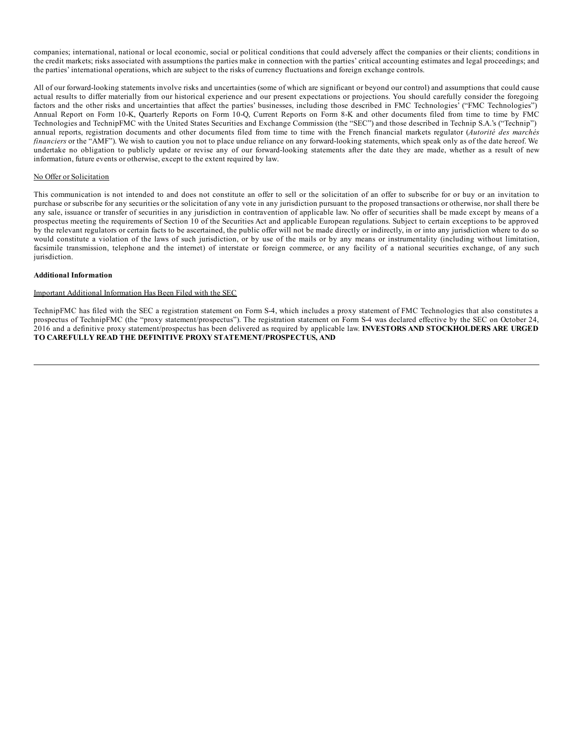companies; international, national or local economic, social or political conditions that could adversely affect the companies or their clients; conditions in the credit markets; risks associated with assumptions the parties make in connection with the parties' critical accounting estimates and legal proceedings; and the parties' international operations, which are subject to the risks of currency fluctuations and foreign exchange controls.

All of our forward-looking statements involve risks and uncertainties (some of which are significant or beyond our control) and assumptions that could cause actual results to differ materially from our historical experience and our present expectations or projections. You should carefully consider the foregoing factors and the other risks and uncertainties that affect the parties' businesses, including those described in FMC Technologies' ("FMC Technologies") Annual Report on Form 10-K, Quarterly Reports on Form 10-Q, Current Reports on Form 8-K and other documents filed from time to time by FMC Technologies and TechnipFMC with the United States Securities and Exchange Commission (the "SEC") and those described in Technip S.A.'s ("Technip") annual reports, registration documents and other documents filed from time to time with the French financial markets regulator (*Autorité des marchés financiers* or the "AMF"). We wish to caution you not to place undue reliance on any forward-looking statements, which speak only as of the date hereof. We undertake no obligation to publicly update or revise any of our forward-looking statements after the date they are made, whether as a result of new information, future events or otherwise, except to the extent required by law.

### No Offer or Solicitation

This communication is not intended to and does not constitute an offer to sell or the solicitation of an offer to subscribe for or buy or an invitation to purchase or subscribe for any securities or the solicitation of any vote in any jurisdiction pursuant to the proposed transactions or otherwise, nor shall there be any sale, issuance or transfer of securities in any jurisdiction in contravention of applicable law. No offer of securities shall be made except by means of a prospectus meeting the requirements of Section 10 of the Securities Act and applicable European regulations. Subject to certain exceptions to be approved by the relevant regulators or certain facts to be ascertained, the public offer will not be made directly or indirectly, in or into any jurisdiction where to do so would constitute a violation of the laws of such jurisdiction, or by use of the mails or by any means or instrumentality (including without limitation, facsimile transmission, telephone and the internet) of interstate or foreign commerce, or any facility of a national securities exchange, of any such jurisdiction.

### **Additional Information**

# Important Additional Information Has Been Filed with the SEC

TechnipFMC has filed with the SEC a registration statement on Form S-4, which includes a proxy statement of FMC Technologies that also constitutes a prospectus of TechnipFMC (the "proxy statement/prospectus"). The registration statement on Form S-4 was declared effective by the SEC on October 24, 2016 and a definitive proxy statement/prospectus has been delivered as required by applicable law. **INVESTORS AND STOCKHOLDERS ARE URGED TO CAREFULLY READ THE DEFINITIVE PROXY STATEMENT/PROSPECTUS, AND**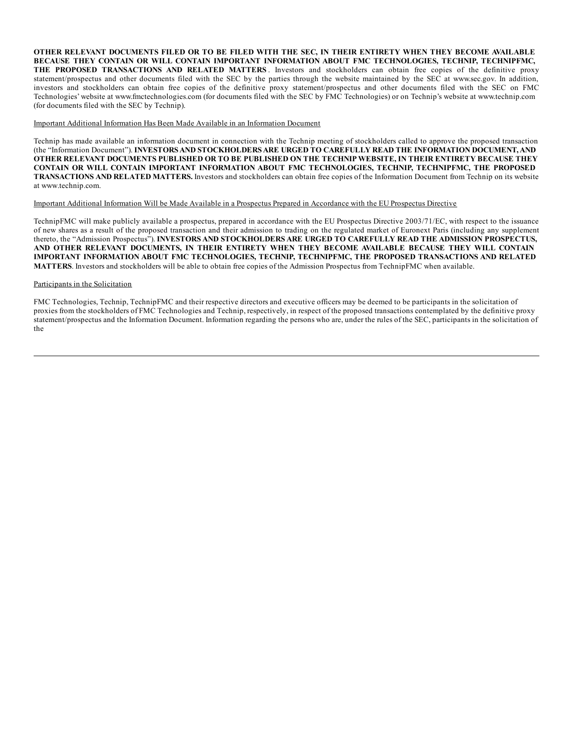OTHER RELEVANT DOCUMENTS FILED OR TO BE FILED WITH THE SEC, IN THEIR ENTIRETY WHEN THEY BECOME AVAILABLE **BECAUSE THEY CONTAIN OR WILL CONTAIN IMPORTANT INFORMATION ABOUT FMC TECHNOLOGIES, TECHNIP, TECHNIPFMC, THE PROPOSED TRANSACTIONS AND RELATED MATTERS** . Investors and stockholders can obtain free copies of the definitive proxy statement/prospectus and other documents filed with the SEC by the parties through the website maintained by the SEC at www.sec.gov. In addition, investors and stockholders can obtain free copies of the definitive proxy statement/prospectus and other documents filed with the SEC on FMC Technologies' website at www.fmctechnologies.com (for documents filed with the SEC by FMC Technologies) or on Technip's website at www.technip.com (for documents filed with the SEC by Technip).

Important Additional Information Has Been Made Available in an Information Document

Technip has made available an information document in connection with the Technip meeting of stockholders called to approve the proposed transaction (the "Information Document"). **INVESTORS AND STOCKHOLDERS ARE URGED TO CAREFULLY READ THE INFORMATION DOCUMENT, AND** OTHER RELEVANT DOCUMENTS PUBLISHED OR TO BE PUBLISHED ON THE TECHNIP WEBSITE, IN THEIR ENTIRETY BECAUSE THEY **CONTAIN OR WILL CONTAIN IMPORTANT INFORMATION ABOUT FMC TECHNOLOGIES, TECHNIP, TECHNIPFMC, THE PROPOSED TRANSACTIONS AND RELATED MATTERS.** Investors and stockholders can obtain free copies of the Information Document from Technip on its website at www.technip.com.

#### Important Additional Information Will be Made Available in a Prospectus Prepared in Accordance with the EU Prospectus Directive

TechnipFMC will make publicly available a prospectus, prepared in accordance with the EU Prospectus Directive 2003/71/EC, with respect to the issuance of new shares as a result of the proposed transaction and their admission to trading on the regulated market of Euronext Paris (including any supplement thereto, the "Admission Prospectus"). **INVESTORS AND STOCKHOLDERS ARE URGED TO CAREFULLY READ THE ADMISSION PROSPECTUS, AND OTHER RELEVANT DOCUMENTS, IN THEIR ENTIRETY WHEN THEY BECOME AVAILABLE BECAUSE THEY WILL CONTAIN IMPORTANT INFORMATION ABOUT FMC TECHNOLOGIES, TECHNIP, TECHNIPFMC, THE PROPOSED TRANSACTIONS AND RELATED MATTERS**. Investors and stockholders will be able to obtain free copies of the Admission Prospectus from TechnipFMC when available.

# Participants in the Solicitation

FMC Technologies, Technip, TechnipFMC and their respective directors and executive officers may be deemed to be participants in the solicitation of proxies from the stockholders of FMC Technologies and Technip, respectively, in respect of the proposed transactions contemplated by the definitive proxy statement/prospectus and the Information Document. Information regarding the persons who are, under the rules of the SEC, participants in the solicitation of the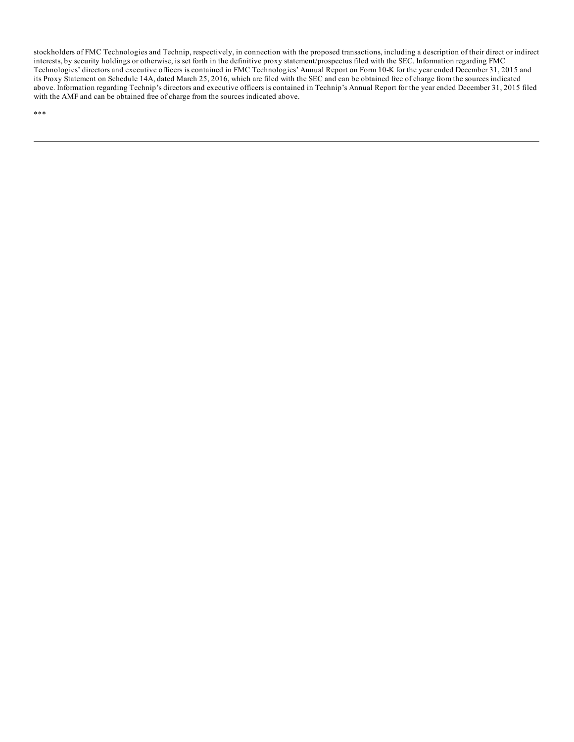stockholders of FMC Technologies and Technip, respectively, in connection with the proposed transactions, including a description of their direct or indirect interests, by security holdings or otherwise, is set forth in the definitive proxy statement/prospectus filed with the SEC. Information regarding FMC Technologies' directors and executive officers is contained in FMC Technologies' Annual Report on Form 10-K for the year ended December 31, 2015 and its Proxy Statement on Schedule 14A, dated March 25, 2016, which are filed with the SEC and can be obtained free of charge from the sources indicated above. Information regarding Technip's directors and executive officers is contained in Technip's Annual Report for the year ended December 31, 2015 filed with the AMF and can be obtained free of charge from the sources indicated above.

\*\*\*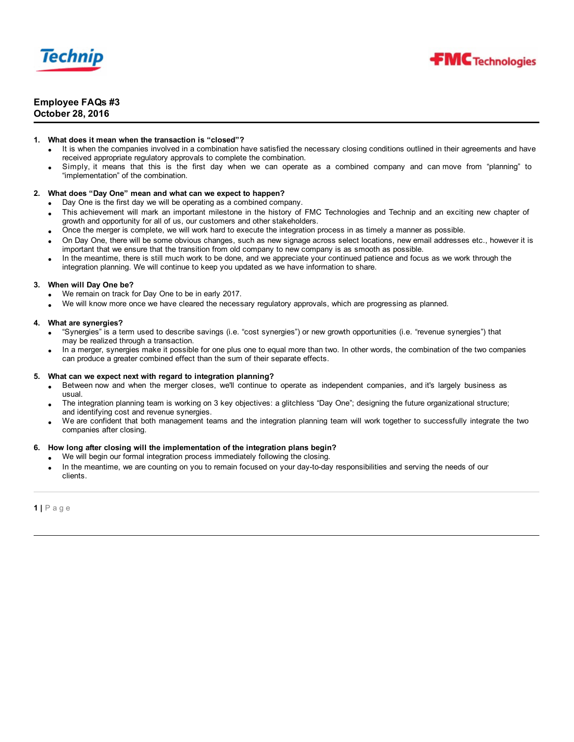



# **Employee FAQs #3 October 28, 2016**

# **1. What does it mean when the transaction is "closed"?**

- It is when the companies involved in a combination have satisfied the necessary closing conditions outlined in their agreements and have received appropriate regulatory approvals to complete the combination.
- · Simply, it means that this is the first day when we can operate as a combined company and can move from "planning" to "implementation" of the combination.

# **2. What does "Day One" mean and what can we expect to happen?**

- Day One is the first day we will be operating as a combined company.
- This achievement will mark an important milestone in the history of FMC Technologies and Technip and an exciting new chapter of growth and opportunity for all of us, our customers and other stakeholders.
- · Once the merger is complete, we will work hard to execute the integration process in as timely a manner as possible.
- · On Day One, there will be some obvious changes, such as new signage across select locations, new email addresses etc., however it is important that we ensure that the transition from old company to new company is as smooth as possible.
- In the meantime, there is still much work to be done, and we appreciate your continued patience and focus as we work through the integration planning. We will continue to keep you updated as we have information to share.

# **3. When will Day One be?**

- We remain on track for Day One to be in early 2017.
- · We will know more once we have cleared the necessary regulatory approvals, which are progressing as planned.

# **4. What are synergies?**

- · "Synergies" is a term used to describe savings (i.e. "cost synergies") or new growth opportunities (i.e. "revenue synergies") that may be realized through a transaction.
- · In a merger, synergies make it possible for one plus one to equal more than two. In other words, the combination of the two companies can produce a greater combined effect than the sum of their separate effects.

# **5. What can we expect next with regard to integration planning?**

- Between now and when the merger closes, we'll continue to operate as independent companies, and it's largely business as usual.
- · The integration planning team is working on 3 key objectives: a glitchless "Day One"; designing the future organizational structure; and identifying cost and revenue synergies.
- We are confident that both management teams and the integration planning team will work together to successfully integrate the two companies after closing.

# **6. How long after closing will the implementation of the integration plans begin?**

- We will begin our formal integration process immediately following the closing.
- In the meantime, we are counting on you to remain focused on your day-to-day responsibilities and serving the needs of our clients.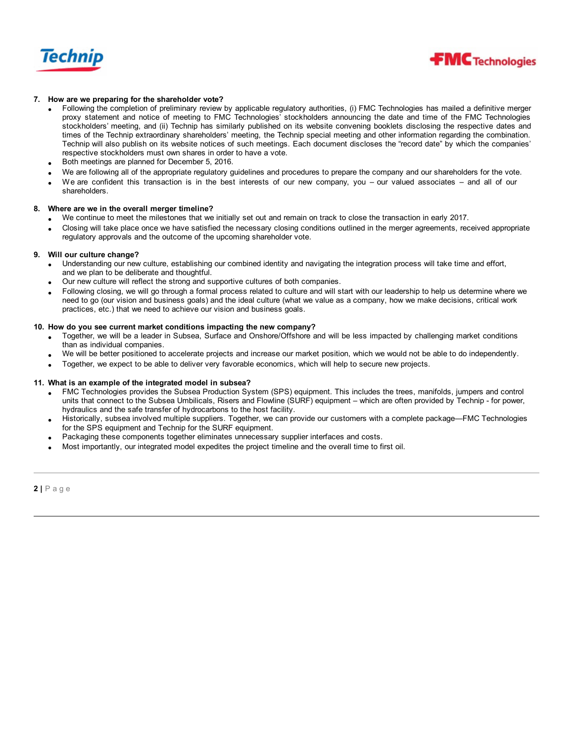



# **7. How are we preparing for the shareholder vote?**

- · Following the completion of preliminary review by applicable regulatory authorities, (i) FMC Technologies has mailed a definitive merger proxy statement and notice of meeting to FMC Technologies' stockholders announcing the date and time of the FMC Technologies stockholders' meeting, and (ii) Technip has similarly published on its website convening booklets disclosing the respective dates and times of the Technip extraordinary shareholders' meeting, the Technip special meeting and other information regarding the combination. Technip will also publish on its website notices of such meetings. Each document discloses the "record date" by which the companies' respective stockholders must own shares in order to have a vote.
- Both meetings are planned for December 5, 2016.
- · We are following all of the appropriate regulatory guidelines and procedures to prepare the company and our shareholders for the vote.
- We are confident this transaction is in the best interests of our new company, you our valued associates and all of our shareholders.

### **8. Where are we in the overall merger timeline?**

- · We continue to meet the milestones that we initially set out and remain on track to close the transaction in early 2017.
- · Closing will take place once we have satisfied the necessary closing conditions outlined in the merger agreements, received appropriate regulatory approvals and the outcome of the upcoming shareholder vote.

### **9. Will our culture change?**

- · Understanding our new culture, establishing our combined identity and navigating the integration process will take time and effort, and we plan to be deliberate and thoughtful.
- · Our new culture will reflect the strong and supportive cultures of both companies.
- · Following closing, we will go through a formal process related to culture and will start with our leadership to help us determine where we need to go (our vision and business goals) and the ideal culture (what we value as a company, how we make decisions, critical work practices, etc.) that we need to achieve our vision and business goals.

### **10. How do you see current market conditions impacting the new company?**

- · Together, we will be a leader in Subsea, Surface and Onshore/Offshore and will be less impacted by challenging market conditions than as individual companies.
- · We will be better positioned to accelerate projects and increase our market position, which we would not be able to do independently.
- · Together, we expect to be able to deliver very favorable economics, which will help to secure new projects.

### **11. What is an example of the integrated model in subsea?**

- · FMC Technologies provides the Subsea Production System (SPS) equipment. This includes the trees, manifolds, jumpers and control units that connect to the Subsea Umbilicals, Risers and Flowline (SURF) equipment – which are often provided by Technip - for power, hydraulics and the safe transfer of hydrocarbons to the host facility.
- · Historically, subsea involved multiple suppliers. Together, we can provide our customers with a complete package—FMC Technologies for the SPS equipment and Technip for the SURF equipment.
- Packaging these components together eliminates unnecessary supplier interfaces and costs.
- Most importantly, our integrated model expedites the project timeline and the overall time to first oil.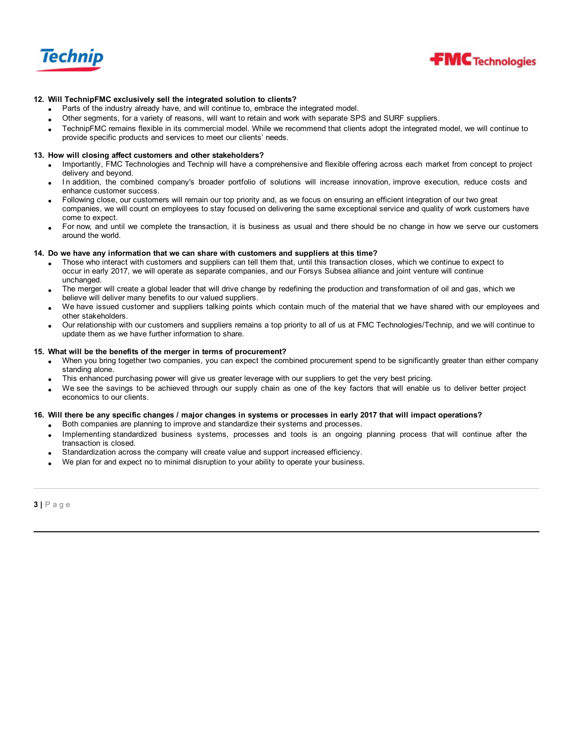



# **12. Will TechnipFMC exclusively sell the integrated solution to clients?**

- Parts of the industry already have, and will continue to, embrace the integrated model.
- Other segments, for a variety of reasons, will want to retain and work with separate SPS and SURF suppliers.
- · TechnipFMC remains flexible in its commercial model. While we recommend that clients adopt the integrated model, we will continue to provide specific products and services to meet our clients' needs.

### **13. How will closing affect customers and other stakeholders?**

- · Importantly, FMC Technologies and Technip will have a comprehensive and flexible offering across each market from concept to project delivery and beyond.
- In addition, the combined company's broader portfolio of solutions will increase innovation, improve execution, reduce costs and enhance customer success.
- · Following close, our customers will remain our top priority and, as we focus on ensuring an efficient integration of our two great companies, we will count on employees to stay focused on delivering the same exceptional service and quality of work customers have come to expect.
- · For now, and until we complete the transaction, it is business as usual and there should be no change in how we serve our customers around the world.

### **14. Do we have any information that we can share with customers and suppliers at this time?**

- · Those who interact with customers and suppliers can tell them that, until this transaction closes, which we continue to expect to occur in early 2017, we will operate as separate companies, and our Forsys Subsea alliance and joint venture will continue unchanged.
- The merger will create a global leader that will drive change by redefining the production and transformation of oil and gas, which we believe will deliver many benefits to our valued suppliers.
- We have issued customer and suppliers talking points which contain much of the material that we have shared with our employees and other stakeholders.
- · Our relationship with our customers and suppliers remains a top priority to all of us at FMC Technologies/Technip, and we will continue to update them as we have further information to share.

### **15. What will be the benefits of the merger in terms of procurement?**

- · When you bring together two companies, you can expect the combined procurement spend to be significantly greater than either company standing alone.
- This enhanced purchasing power will give us greater leverage with our suppliers to get the very best pricing.
- We see the savings to be achieved through our supply chain as one of the key factors that will enable us to deliver better project economics to our clients.

### 16. Will there be any specific changes / major changes in systems or processes in early 2017 that will impact operations?

- · Both companies are planning to improve and standardize their systems and processes.
- Implementing standardized business systems, processes and tools is an ongoing planning process that will continue after the transaction is closed.
- Standardization across the company will create value and support increased efficiency.
- We plan for and expect no to minimal disruption to your ability to operate your business.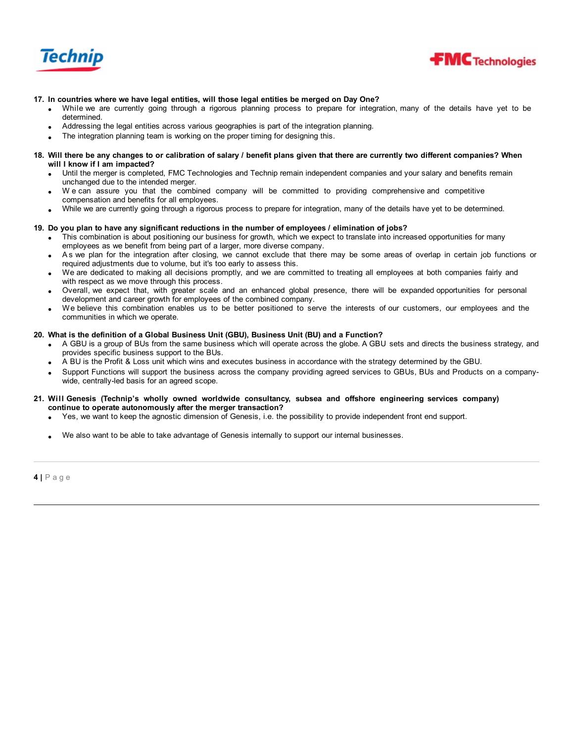



# **17. In countries where we have legal entities, will those legal entities be merged on Day One?**

- · While we are currently going through a rigorous planning process to prepare for integration, many of the details have yet to be determined.
- · Addressing the legal entities across various geographies is part of the integration planning.
- The integration planning team is working on the proper timing for designing this.
- 18. Will there be any changes to or calibration of salary / benefit plans given that there are currently two different companies? When **will I know if I am impacted?**
	- Until the merger is completed, FMC Technologies and Technip remain independent companies and your salary and benefits remain unchanged due to the intended merger.
	- We can assure you that the combined company will be committed to providing comprehensive and competitive compensation and benefits for all employees.
	- · While we are currently going through a rigorous process to prepare for integration, many of the details have yet to be determined.

# 19. Do you plan to have any significant reductions in the number of employees / elimination of jobs?

- This combination is about positioning our business for growth, which we expect to translate into increased opportunities for many employees as we benefit from being part of a larger, more diverse company.
- · A s we plan for the integration after closing, we cannot exclude that there may be some areas of overlap in certain job functions or required adjustments due to volume, but it's too early to assess this.
- · We are dedicated to making all decisions promptly, and we are committed to treating all employees at both companies fairly and with respect as we move through this process.
- · Overall, we expect that, with greater scale and an enhanced global presence, there will be expanded opportunities for personal development and career growth for employees of the combined company.
- We believe this combination enables us to be better positioned to serve the interests of our customers, our employees and the communities in which we operate.

# **20. What is the definition of a Global Business Unit (GBU), Business Unit (BU) and a Function?**

- A GBU is a group of BUs from the same business which will operate across the globe. A GBU sets and directs the business strategy, and provides specific business support to the BUs.
- A BU is the Profit & Loss unit which wins and executes business in accordance with the strategy determined by the GBU.
- Support Functions will support the business across the company providing agreed services to GBUs, BUs and Products on a companywide, centrally-led basis for an agreed scope.

### **21. Will Genesis (Technip's wholly owned worldwide consultancy, subsea and offshore engineering services company) continue to operate autonomously after the merger transaction?**

- · Yes, we want to keep the agnostic dimension of Genesis, i.e. the possibility to provide independent front end support.
- We also want to be able to take advantage of Genesis internally to support our internal businesses.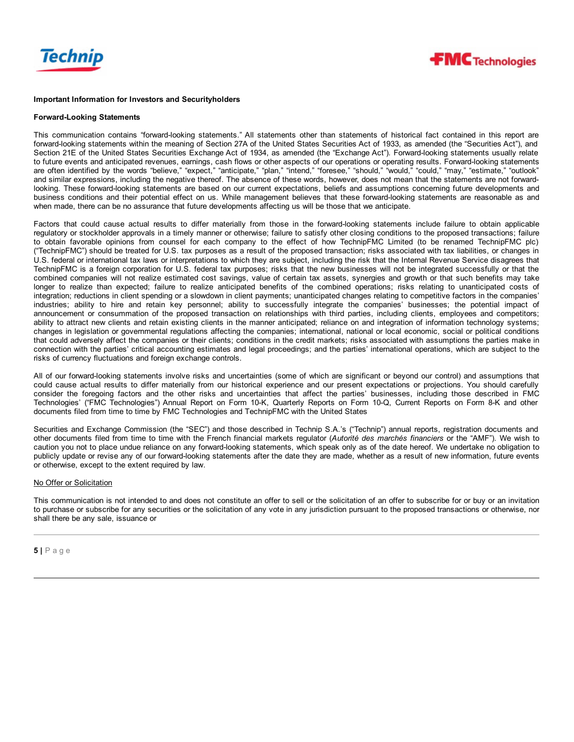



### **Important Information for Investors and Securityholders**

#### **Forward-Looking Statements**

This communication contains "forward-looking statements." All statements other than statements of historical fact contained in this report are forward-looking statements within the meaning of Section 27A of the United States Securities Act of 1933, as amended (the "Securities Act"), and Section 21E of the United States Securities Exchange Act of 1934, as amended (the "Exchange Act"). Forward-looking statements usually relate to future events and anticipated revenues, earnings, cash flows or other aspects of our operations or operating results. Forward-looking statements are often identified by the words "believe," "expect," "anticipate," "plan," "intend," "foresee," "should," "would," "could," "may," "estimate," "outlook" and similar expressions, including the negative thereof. The absence of these words, however, does not mean that the statements are not forwardlooking. These forward-looking statements are based on our current expectations, beliefs and assumptions concerning future developments and business conditions and their potential effect on us. While management believes that these forward-looking statements are reasonable as and when made, there can be no assurance that future developments affecting us will be those that we anticipate.

Factors that could cause actual results to differ materially from those in the forward-looking statements include failure to obtain applicable regulatory or stockholder approvals in a timely manner or otherwise; failure to satisfy other closing conditions to the proposed transactions; failure to obtain favorable opinions from counsel for each company to the effect of how TechnipFMC Limited (to be renamed TechnipFMC plc) ("TechnipFMC") should be treated for U.S. tax purposes as a result of the proposed transaction; risks associated with tax liabilities, or changes in U.S. federal or international tax laws or interpretations to which they are subject, including the risk that the Internal Revenue Service disagrees that TechnipFMC is a foreign corporation for U.S. federal tax purposes; risks that the new businesses will not be integrated successfully or that the combined companies will not realize estimated cost savings, value of certain tax assets, synergies and growth or that such benefits may take longer to realize than expected; failure to realize anticipated benefits of the combined operations; risks relating to unanticipated costs of integration; reductions in client spending or a slowdown in client payments; unanticipated changes relating to competitive factors in the companies' industries; ability to hire and retain key personnel; ability to successfully integrate the companies' businesses; the potential impact of announcement or consummation of the proposed transaction on relationships with third parties, including clients, employees and competitors; ability to attract new clients and retain existing clients in the manner anticipated; reliance on and integration of information technology systems; changes in legislation or governmental regulations affecting the companies; international, national or local economic, social or political conditions that could adversely affect the companies or their clients; conditions in the credit markets; risks associated with assumptions the parties make in connection with the parties' critical accounting estimates and legal proceedings; and the parties' international operations, which are subject to the risks of currency fluctuations and foreign exchange controls.

All of our forward-looking statements involve risks and uncertainties (some of which are significant or beyond our control) and assumptions that could cause actual results to differ materially from our historical experience and our present expectations or projections. You should carefully consider the foregoing factors and the other risks and uncertainties that affect the parties' businesses, including those described in FMC Technologies' ("FMC Technologies") Annual Report on Form 10-K, Quarterly Reports on Form 10-Q, Current Reports on Form 8-K and other documents filed from time to time by FMC Technologies and TechnipFMC with the United States

Securities and Exchange Commission (the "SEC") and those described in Technip S.A.'s ("Technip") annual reports, registration documents and other documents filed from time to time with the French financial markets regulator (*Autorité des marchés financiers* or the "AMF"). We wish to caution you not to place undue reliance on any forward-looking statements, which speak only as of the date hereof. We undertake no obligation to publicly update or revise any of our forward-looking statements after the date they are made, whether as a result of new information, future events or otherwise, except to the extent required by law.

### No Offer or Solicitation

This communication is not intended to and does not constitute an offer to sell or the solicitation of an offer to subscribe for or buy or an invitation to purchase or subscribe for any securities or the solicitation of any vote in any jurisdiction pursuant to the proposed transactions or otherwise, nor shall there be any sale, issuance or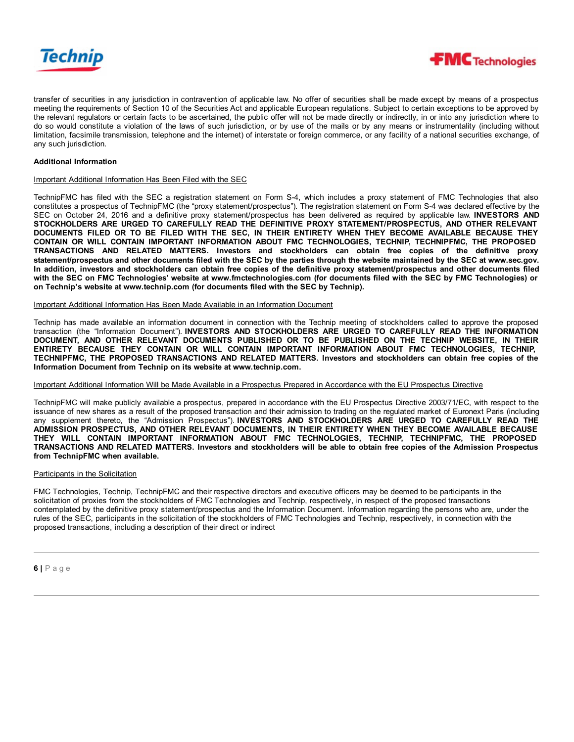



transfer of securities in any jurisdiction in contravention of applicable law. No offer of securities shall be made except by means of a prospectus meeting the requirements of Section 10 of the Securities Act and applicable European regulations. Subject to certain exceptions to be approved by the relevant regulators or certain facts to be ascertained, the public offer will not be made directly or indirectly, in or into any jurisdiction where to do so would constitute a violation of the laws of such jurisdiction, or by use of the mails or by any means or instrumentality (including without limitation, facsimile transmission, telephone and the internet) of interstate or foreign commerce, or any facility of a national securities exchange, of any such jurisdiction.

# **Additional Information**

### Important Additional Information Has Been Filed with the SEC

TechnipFMC has filed with the SEC a registration statement on Form S-4, which includes a proxy statement of FMC Technologies that also constitutes a prospectus of TechnipFMC (the "proxy statement/prospectus"). The registration statement on Form S-4 was declared effective by the SEC on October 24, 2016 and a definitive proxy statement/prospectus has been delivered as required by applicable law. **INVESTORS AND STOCKHOLDERS ARE URGED TO CAREFULLY READ THE DEFINITIVE PROXY STATEMENT/PROSPECTUS, AND OTHER RELEVANT** DOCUMENTS FILED OR TO BE FILED WITH THE SEC, IN THEIR ENTIRETY WHEN THEY BECOME AVAILABLE BECAUSE THEY **CONTAIN OR WILL CONTAIN IMPORTANT INFORMATION ABOUT FMC TECHNOLOGIES, TECHNIP, TECHNIPFMC, THE PROPOSED TRANSACTIONS AND RELATED MATTERS. Investors and stockholders can obtain free copies of the definitive proxy** statement/prospectus and other documents filed with the SEC by the parties through the website maintained by the SEC at www.sec.gov. In addition, investors and stockholders can obtain free copies of the definitive proxy statement/prospectus and other documents filed with the SEC on FMC Technologies' website at www.fmctechnologies.com (for documents filed with the SEC by FMC Technologies) or **on Technip's website at www.technip.com (for documents filed with the SEC by Technip).**

#### Important Additional Information Has Been Made Available in an Information Document

Technip has made available an information document in connection with the Technip meeting of stockholders called to approve the proposed transaction (the "Information Document"). **INVESTORS AND STOCKHOLDERS ARE URGED TO CAREFULLY READ THE INFORMATION DOCUMENT, AND OTHER RELEVANT DOCUMENTS PUBLISHED OR TO BE PUBLISHED ON THE TECHNIP WEBSITE, IN THEIR ENTIRETY BECAUSE THEY CONTAIN OR WILL CONTAIN IMPORTANT INFORMATION ABOUT FMC TECHNOLOGIES, TECHNIP,** TECHNIPFMC, THE PROPOSED TRANSACTIONS AND RELATED MATTERS. Investors and stockholders can obtain free copies of the **Information Document from Technip on its website at www.technip.com.**

### Important Additional Information Will be Made Available in a Prospectus Prepared in Accordance with the EU Prospectus Directive

TechnipFMC will make publicly available a prospectus, prepared in accordance with the EU Prospectus Directive 2003/71/EC, with respect to the issuance of new shares as a result of the proposed transaction and their admission to trading on the regulated market of Euronext Paris (including any supplement thereto, the "Admission Prospectus"). **INVESTORS AND STOCKHOLDERS ARE URGED TO CAREFULLY READ THE ADMISSION PROSPECTUS, AND OTHER RELEVANT DOCUMENTS, IN THEIR ENTIRETY WHEN THEY BECOME AVAILABLE BECAUSE THEY WILL CONTAIN IMPORTANT INFORMATION ABOUT FMC TECHNOLOGIES, TECHNIP, TECHNIPFMC, THE PROPOSED** TRANSACTIONS AND RELATED MATTERS. Investors and stockholders will be able to obtain free copies of the Admission Prospectus **from TechnipFMC when available.**

### Participants in the Solicitation

FMC Technologies, Technip, TechnipFMC and their respective directors and executive officers may be deemed to be participants in the solicitation of proxies from the stockholders of FMC Technologies and Technip, respectively, in respect of the proposed transactions contemplated by the definitive proxy statement/prospectus and the Information Document. Information regarding the persons who are, under the rules of the SEC, participants in the solicitation of the stockholders of FMC Technologies and Technip, respectively, in connection with the proposed transactions, including a description of their direct or indirect